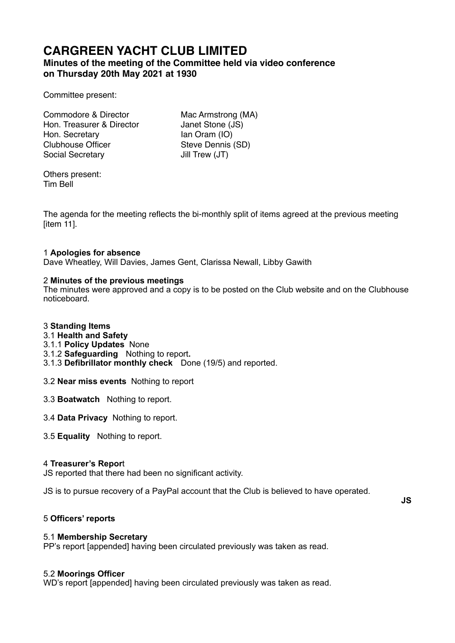# **CARGREEN YACHT CLUB LIMITED**

## **Minutes of the meeting of the Committee held via video conference on Thursday 20th May 2021 at 1930**

Committee present:

| Commodore & Director      |
|---------------------------|
| Hon. Treasurer & Director |
| Hon. Secretary            |
| <b>Clubhouse Officer</b>  |
| <b>Social Secretary</b>   |

Mac Armstrong (MA) Janet Stone (JS) Ian Oram (IO) Steve Dennis (SD) Jill Trew (JT)

Others present: Tim Bell

The agenda for the meeting reflects the bi-monthly split of items agreed at the previous meeting [item 11].

## 1 **Apologies for absence**

Dave Wheatley, Will Davies, James Gent, Clarissa Newall, Libby Gawith

## 2 **Minutes of the previous meetings**

The minutes were approved and a copy is to be posted on the Club website and on the Clubhouse noticeboard.

## 3 **Standing Items**

- 3.1 **Health and Safety**
- 3.1.1 **Policy Updates** None
- 3.1.2 **Safeguarding** Nothing to report**.**
- 3.1.3 **Defibrillator monthly check** Done (19/5) and reported.
- 3.2 **Near miss events** Nothing to report
- 3.3 **Boatwatch** Nothing to report.
- 3.4 **Data Privacy** Nothing to report.
- 3.5 **Equality** Nothing to report.

## 4 **Treasurer's Repor**t

JS reported that there had been no significant activity.

JS is to pursue recovery of a PayPal account that the Club is believed to have operated.

**JS** 

## 5 **Officers' reports**

## 5.1 **Membership Secretary**

PP's report [appended] having been circulated previously was taken as read.

## 5.2 **Moorings Officer**

WD's report [appended] having been circulated previously was taken as read.